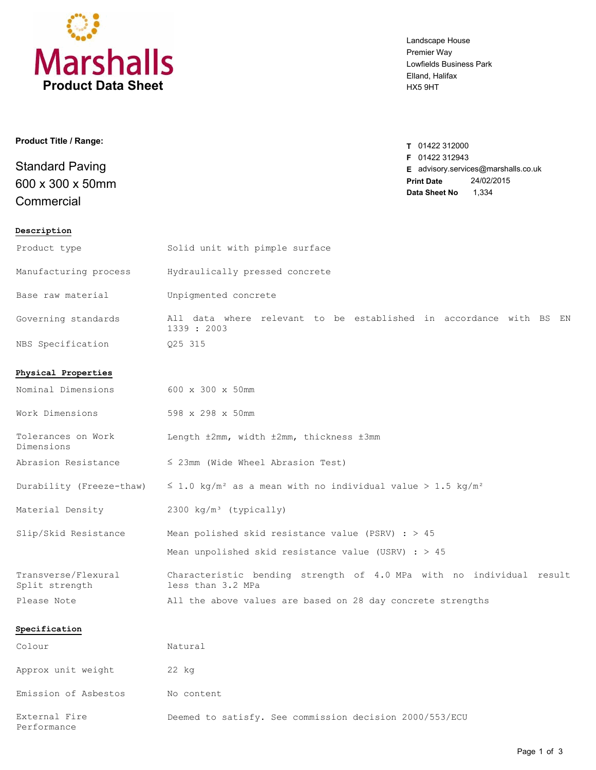

Landscape House Premier Way Lowfields Business Park Elland, Halifax HX5 9HT

| <b>Product Title / Range:</b>              | T 01422 312000                      |
|--------------------------------------------|-------------------------------------|
| <b>Standard Paving</b><br>600 x 300 x 50mm | <b>F</b> 01422 312943               |
|                                            | E advisory.services@marshalls.co.uk |
|                                            | 24/02/2015<br><b>Print Date</b>     |
| Commercial                                 | Data Sheet No<br>1,334              |
| Description                                |                                     |

| Product type                          | Solid unit with pimple surface                                                            |  |  |
|---------------------------------------|-------------------------------------------------------------------------------------------|--|--|
| Manufacturing process                 | Hydraulically pressed concrete                                                            |  |  |
| Base raw material                     | Unpigmented concrete                                                                      |  |  |
| Governing standards                   | All data where relevant to be established in accordance with BS EN<br>1339 : 2003         |  |  |
| NBS Specification                     | Q25 315                                                                                   |  |  |
| Physical Properties                   |                                                                                           |  |  |
| Nominal Dimensions                    | 600 x 300 x 50mm                                                                          |  |  |
| Work Dimensions                       | 598 x 298 x 50mm                                                                          |  |  |
| Tolerances on Work<br>Dimensions      | Length ±2mm, width ±2mm, thickness ±3mm                                                   |  |  |
| Abrasion Resistance                   | $\leq$ 23mm (Wide Wheel Abrasion Test)                                                    |  |  |
| Durability (Freeze-thaw)              | $\leq$ 1.0 kg/m <sup>2</sup> as a mean with no individual value > 1.5 kg/m <sup>2</sup>   |  |  |
| Material Density                      | 2300 kg/m <sup>3</sup> (typically)                                                        |  |  |
| Slip/Skid Resistance                  | Mean polished skid resistance value (PSRV) : $> 45$                                       |  |  |
|                                       | Mean unpolished skid resistance value (USRV) : $> 45$                                     |  |  |
| Transverse/Flexural<br>Split strength | Characteristic bending strength of 4.0 MPa with no individual result<br>less than 3.2 MPa |  |  |
| Please Note                           | All the above values are based on 28 day concrete strengths                               |  |  |
| Specification                         |                                                                                           |  |  |
| Colour                                | Natural                                                                                   |  |  |
| Approx unit weight                    | 22 kg                                                                                     |  |  |

Emission of Asbestos No content External Fire **Deemed to satisfy.** See commission decision 2000/553/ECU

Performance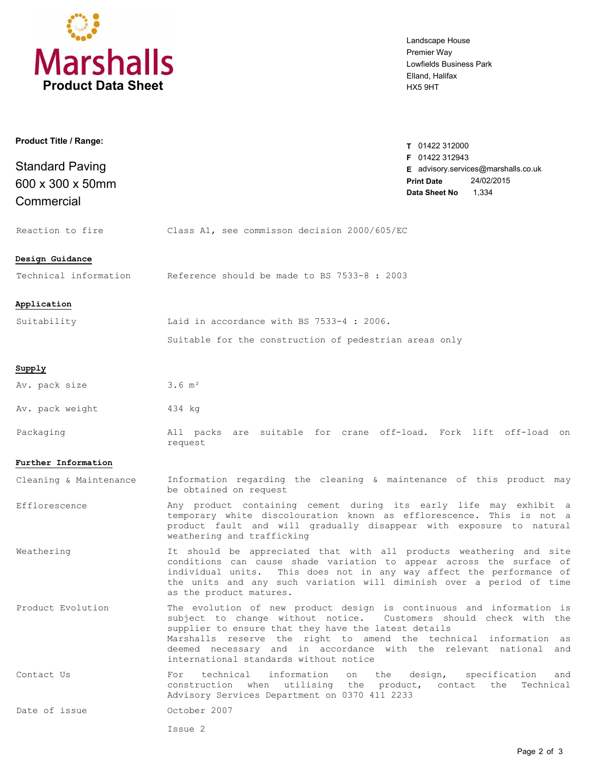

Landscape House Premier Way Lowfields Business Park Elland, Halifax HX5 9HT

| Product Title / Range:                                   |                                                                                                                                                                                                                                                                                                                                                                                       | T 01422 312000                                                                                                     |
|----------------------------------------------------------|---------------------------------------------------------------------------------------------------------------------------------------------------------------------------------------------------------------------------------------------------------------------------------------------------------------------------------------------------------------------------------------|--------------------------------------------------------------------------------------------------------------------|
| <b>Standard Paving</b><br>600 x 300 x 50mm<br>Commercial |                                                                                                                                                                                                                                                                                                                                                                                       | F 01422 312943<br>E advisory.services@marshalls.co.uk<br>24/02/2015<br><b>Print Date</b><br>1,334<br>Data Sheet No |
| Reaction to fire                                         | Class A1, see commisson decision 2000/605/EC                                                                                                                                                                                                                                                                                                                                          |                                                                                                                    |
| Design Guidance<br>Technical information                 | Reference should be made to BS 7533-8 : 2003                                                                                                                                                                                                                                                                                                                                          |                                                                                                                    |
| Application                                              |                                                                                                                                                                                                                                                                                                                                                                                       |                                                                                                                    |
| Suitability                                              | Laid in accordance with BS 7533-4 : 2006.                                                                                                                                                                                                                                                                                                                                             |                                                                                                                    |
|                                                          | Suitable for the construction of pedestrian areas only                                                                                                                                                                                                                                                                                                                                |                                                                                                                    |
| Supply                                                   |                                                                                                                                                                                                                                                                                                                                                                                       |                                                                                                                    |
| Av. pack size                                            | $3.6 \, \text{m}^2$                                                                                                                                                                                                                                                                                                                                                                   |                                                                                                                    |
| Av. pack weight                                          | 434 kg                                                                                                                                                                                                                                                                                                                                                                                |                                                                                                                    |
| Packaging                                                | All packs are suitable for crane off-load. Fork lift off-load on<br>request                                                                                                                                                                                                                                                                                                           |                                                                                                                    |
| Further Information                                      |                                                                                                                                                                                                                                                                                                                                                                                       |                                                                                                                    |
| Cleaning & Maintenance                                   | Information regarding the cleaning & maintenance of this product may<br>be obtained on request                                                                                                                                                                                                                                                                                        |                                                                                                                    |
| Efflorescence                                            | Any product containing cement during its early life may exhibit a<br>temporary white discolouration known as efflorescence. This is not a<br>product fault and will gradually disappear with exposure to natural<br>weathering and trafficking                                                                                                                                        |                                                                                                                    |
| Weathering                                               | It should be appreciated that with all products weathering and site<br>conditions can cause shade variation to appear across the surface of<br>individual units. This does not in any way affect the performance of<br>the units and any such variation will diminish over a period of time<br>as the product matures.                                                                |                                                                                                                    |
| Product Evolution                                        | The evolution of new product design is continuous and information is<br>subject to change without notice. Customers should check with the<br>supplier to ensure that they have the latest details<br>Marshalls reserve the right to amend the technical information as<br>deemed necessary and in accordance with the relevant national and<br>international standards without notice |                                                                                                                    |
| Contact Us                                               | technical<br>information<br>on the<br>For<br>construction when utilising the product, contact the Technical<br>Advisory Services Department on 0370 411 2233                                                                                                                                                                                                                          | design, specification<br>and                                                                                       |
| Date of issue                                            | October 2007                                                                                                                                                                                                                                                                                                                                                                          |                                                                                                                    |
|                                                          | Issue 2                                                                                                                                                                                                                                                                                                                                                                               |                                                                                                                    |